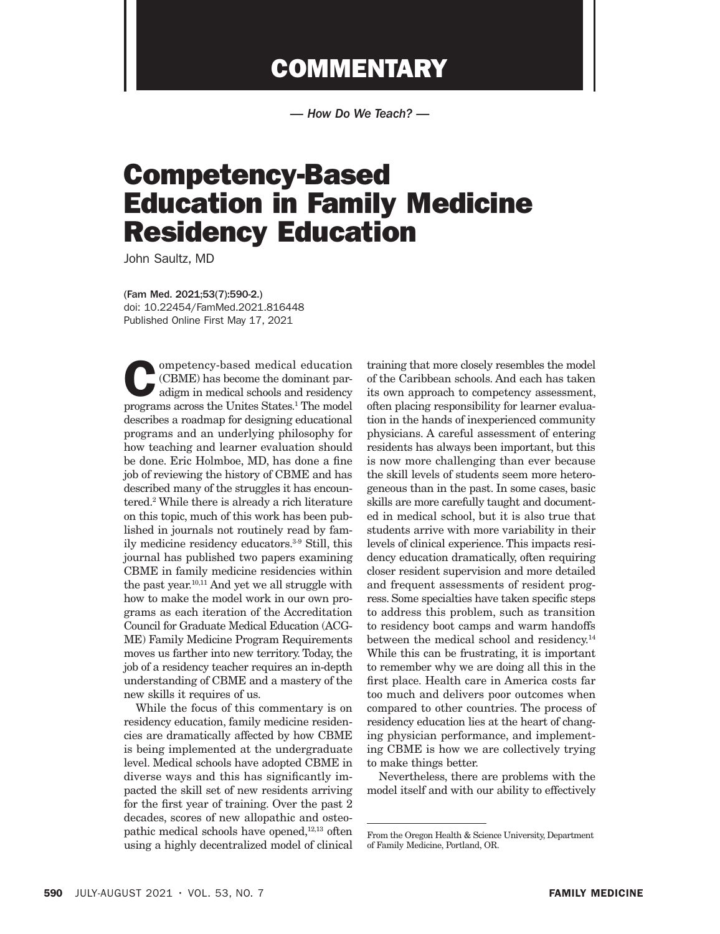## **COMMENTARY**

*— How Do We Teach? —*

## Competency-Based Education in Family Medicine Residency Education

John Saultz, MD

(Fam Med. 2021;53(7):590-2.) doi: 10.22454/FamMed.2021.816448 Published Online First May 17, 2021

ompetency-based medical education (CBME) has become the dominant paradigm in medical schools and residency programs across the Unites States.1 The model describes a roadmap for designing educational programs and an underlying philosophy for how teaching and learner evaluation should be done. Eric Holmboe, MD, has done a fine job of reviewing the history of CBME and has described many of the struggles it has encountered.2 While there is already a rich literature on this topic, much of this work has been published in journals not routinely read by family medicine residency educators.3-9 Still, this journal has published two papers examining CBME in family medicine residencies within the past year.10,11 And yet we all struggle with how to make the model work in our own programs as each iteration of the Accreditation Council for Graduate Medical Education (ACG-ME) Family Medicine Program Requirements moves us farther into new territory. Today, the job of a residency teacher requires an in-depth understanding of CBME and a mastery of the new skills it requires of us.

While the focus of this commentary is on residency education, family medicine residencies are dramatically affected by how CBME is being implemented at the undergraduate level. Medical schools have adopted CBME in diverse ways and this has significantly impacted the skill set of new residents arriving for the first year of training. Over the past 2 decades, scores of new allopathic and osteopathic medical schools have opened,<sup>12,13</sup> often using a highly decentralized model of clinical

training that more closely resembles the model of the Caribbean schools. And each has taken its own approach to competency assessment, often placing responsibility for learner evaluation in the hands of inexperienced community physicians. A careful assessment of entering residents has always been important, but this is now more challenging than ever because the skill levels of students seem more heterogeneous than in the past. In some cases, basic skills are more carefully taught and documented in medical school, but it is also true that students arrive with more variability in their levels of clinical experience. This impacts residency education dramatically, often requiring closer resident supervision and more detailed and frequent assessments of resident progress. Some specialties have taken specific steps to address this problem, such as transition to residency boot camps and warm handoffs between the medical school and residency.<sup>14</sup> While this can be frustrating, it is important to remember why we are doing all this in the first place. Health care in America costs far too much and delivers poor outcomes when compared to other countries. The process of residency education lies at the heart of changing physician performance, and implementing CBME is how we are collectively trying to make things better.

Nevertheless, there are problems with the model itself and with our ability to effectively

From the Oregon Health & Science University, Department of Family Medicine, Portland, OR.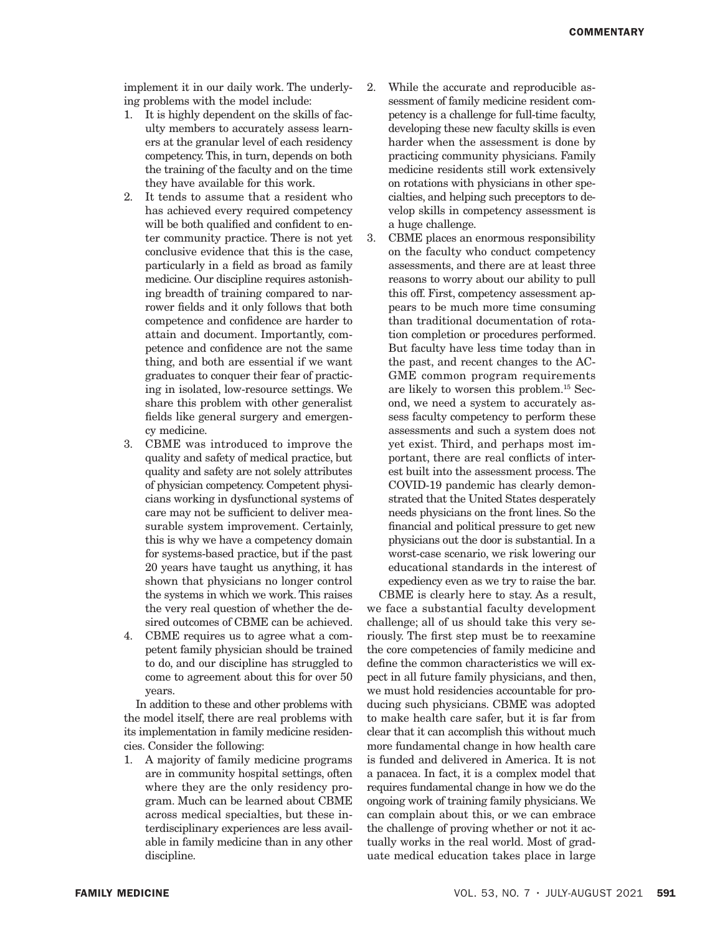implement it in our daily work. The underlying problems with the model include:

- 1. It is highly dependent on the skills of faculty members to accurately assess learners at the granular level of each residency competency. This, in turn, depends on both the training of the faculty and on the time they have available for this work.
- 2. It tends to assume that a resident who has achieved every required competency will be both qualified and confident to enter community practice. There is not yet conclusive evidence that this is the case, particularly in a field as broad as family medicine. Our discipline requires astonishing breadth of training compared to narrower fields and it only follows that both competence and confidence are harder to attain and document. Importantly, competence and confidence are not the same thing, and both are essential if we want graduates to conquer their fear of practicing in isolated, low-resource settings. We share this problem with other generalist fields like general surgery and emergency medicine.
- 3. CBME was introduced to improve the quality and safety of medical practice, but quality and safety are not solely attributes of physician competency. Competent physicians working in dysfunctional systems of care may not be sufficient to deliver measurable system improvement. Certainly, this is why we have a competency domain for systems-based practice, but if the past 20 years have taught us anything, it has shown that physicians no longer control the systems in which we work. This raises the very real question of whether the desired outcomes of CBME can be achieved.
- 4. CBME requires us to agree what a competent family physician should be trained to do, and our discipline has struggled to come to agreement about this for over 50 years.

In addition to these and other problems with the model itself, there are real problems with its implementation in family medicine residencies. Consider the following:

1. A majority of family medicine programs are in community hospital settings, often where they are the only residency program. Much can be learned about CBME across medical specialties, but these interdisciplinary experiences are less available in family medicine than in any other discipline.

- 2. While the accurate and reproducible assessment of family medicine resident competency is a challenge for full-time faculty, developing these new faculty skills is even harder when the assessment is done by practicing community physicians. Family medicine residents still work extensively on rotations with physicians in other specialties, and helping such preceptors to develop skills in competency assessment is a huge challenge.
- 3. CBME places an enormous responsibility on the faculty who conduct competency assessments, and there are at least three reasons to worry about our ability to pull this off. First, competency assessment appears to be much more time consuming than traditional documentation of rotation completion or procedures performed. But faculty have less time today than in the past, and recent changes to the AC-GME common program requirements are likely to worsen this problem.15 Second, we need a system to accurately assess faculty competency to perform these assessments and such a system does not yet exist. Third, and perhaps most important, there are real conflicts of interest built into the assessment process. The COVID-19 pandemic has clearly demonstrated that the United States desperately needs physicians on the front lines. So the financial and political pressure to get new physicians out the door is substantial. In a worst-case scenario, we risk lowering our educational standards in the interest of expediency even as we try to raise the bar.

CBME is clearly here to stay. As a result, we face a substantial faculty development challenge; all of us should take this very seriously. The first step must be to reexamine the core competencies of family medicine and define the common characteristics we will expect in all future family physicians, and then, we must hold residencies accountable for producing such physicians. CBME was adopted to make health care safer, but it is far from clear that it can accomplish this without much more fundamental change in how health care is funded and delivered in America. It is not a panacea. In fact, it is a complex model that requires fundamental change in how we do the ongoing work of training family physicians. We can complain about this, or we can embrace the challenge of proving whether or not it actually works in the real world. Most of graduate medical education takes place in large